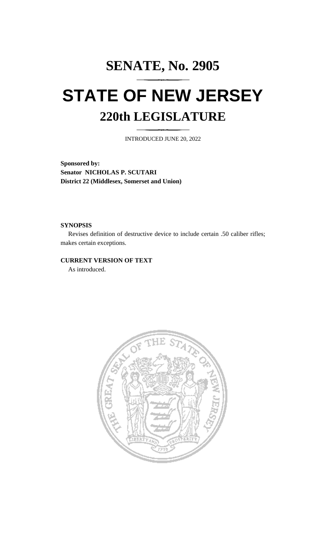# **SENATE, No. 2905 STATE OF NEW JERSEY 220th LEGISLATURE**

INTRODUCED JUNE 20, 2022

**Sponsored by: Senator NICHOLAS P. SCUTARI District 22 (Middlesex, Somerset and Union)**

#### **SYNOPSIS**

Revises definition of destructive device to include certain .50 caliber rifles; makes certain exceptions.

### **CURRENT VERSION OF TEXT**

As introduced.

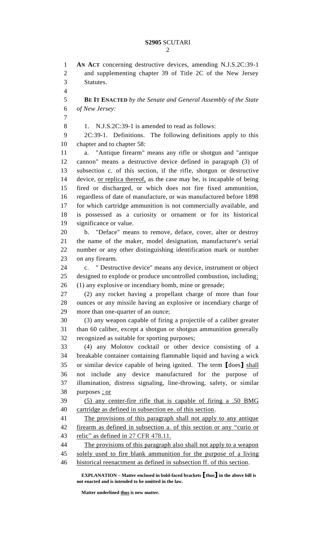**AN ACT** concerning destructive devices, amending N.J.S.2C:39-1 and supplementing chapter 39 of Title 2C of the New Jersey Statutes. **BE IT ENACTED** *by the Senate and General Assembly of the State of New Jersey:* 8 1. N.J.S.2C:39-1 is amended to read as follows: 2C:39-1. Definitions. The following definitions apply to this chapter and to chapter 58: a. "Antique firearm" means any rifle or shotgun and "antique cannon" means a destructive device defined in paragraph (3) of subsection c. of this section, if the rifle, shotgun or destructive 14 device, <u>or replica thereof</u>, as the case may be, is incapable of being fired or discharged, or which does not fire fixed ammunition, regardless of date of manufacture, or was manufactured before 1898 for which cartridge ammunition is not commercially available, and is possessed as a curiosity or ornament or for its historical significance or value. b. "Deface" means to remove, deface, cover, alter or destroy the name of the maker, model designation, manufacturer's serial number or any other distinguishing identification mark or number on any firearm. c. " Destructive device" means any device, instrument or object 25 designed to explode or produce uncontrolled combustion, including: (1) any explosive or incendiary bomb, mine or grenade; (2) any rocket having a propellant charge of more than four ounces or any missile having an explosive or incendiary charge of more than one-quarter of an ounce; (3) any weapon capable of firing a projectile of a caliber greater than 60 caliber, except a shotgun or shotgun ammunition generally recognized as suitable for sporting purposes; (4) any Molotov cocktail or other device consisting of a breakable container containing flammable liquid and having a wick or similar device capable of being ignited. The term **[**does**]** shall not include any device manufactured for the purpose of illumination, distress signaling, line-throwing, safety, or similar purposes ; or (5) any center-fire rifle that is capable of firing a .50 BMG cartridge as defined in subsection ee. of this section. The provisions of this paragraph shall not apply to any antique firearm as defined in subsection a. of this section or any "curio or relic" as defined in 27 CFR 478.11. 44 The provisions of this paragraph also shall not apply to a weapon solely used to fire blank ammunition for the purpose of a living historical reenactment as defined in subsection ff. of this section.

**EXPLANATION – Matter enclosed in bold-faced brackets [thus] in the above bill is not enacted and is intended to be omitted in the law.**

**Matter underlined thus is new matter.**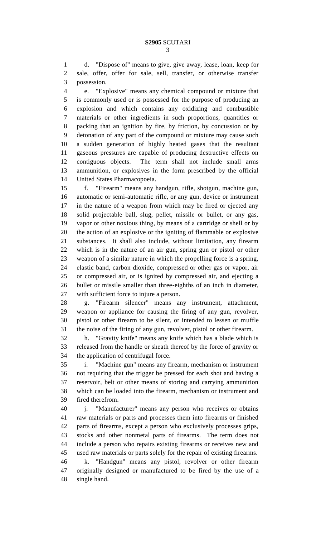d. "Dispose of" means to give, give away, lease, loan, keep for sale, offer, offer for sale, sell, transfer, or otherwise transfer possession.

 e. "Explosive" means any chemical compound or mixture that is commonly used or is possessed for the purpose of producing an explosion and which contains any oxidizing and combustible materials or other ingredients in such proportions, quantities or packing that an ignition by fire, by friction, by concussion or by detonation of any part of the compound or mixture may cause such a sudden generation of highly heated gases that the resultant gaseous pressures are capable of producing destructive effects on contiguous objects. The term shall not include small arms ammunition, or explosives in the form prescribed by the official United States Pharmacopoeia.

 f. "Firearm" means any handgun, rifle, shotgun, machine gun, automatic or semi-automatic rifle, or any gun, device or instrument in the nature of a weapon from which may be fired or ejected any solid projectable ball, slug, pellet, missile or bullet, or any gas, vapor or other noxious thing, by means of a cartridge or shell or by the action of an explosive or the igniting of flammable or explosive substances. It shall also include, without limitation, any firearm which is in the nature of an air gun, spring gun or pistol or other weapon of a similar nature in which the propelling force is a spring, elastic band, carbon dioxide, compressed or other gas or vapor, air or compressed air, or is ignited by compressed air, and ejecting a bullet or missile smaller than three-eighths of an inch in diameter, with sufficient force to injure a person.

 g. "Firearm silencer" means any instrument, attachment, weapon or appliance for causing the firing of any gun, revolver, pistol or other firearm to be silent, or intended to lessen or muffle the noise of the firing of any gun, revolver, pistol or other firearm.

 h. "Gravity knife" means any knife which has a blade which is released from the handle or sheath thereof by the force of gravity or the application of centrifugal force.

 i. "Machine gun" means any firearm, mechanism or instrument not requiring that the trigger be pressed for each shot and having a reservoir, belt or other means of storing and carrying ammunition which can be loaded into the firearm, mechanism or instrument and fired therefrom.

 j. "Manufacturer" means any person who receives or obtains raw materials or parts and processes them into firearms or finished parts of firearms, except a person who exclusively processes grips, stocks and other nonmetal parts of firearms. The term does not include a person who repairs existing firearms or receives new and used raw materials or parts solely for the repair of existing firearms. k. "Handgun" means any pistol, revolver or other firearm originally designed or manufactured to be fired by the use of a single hand.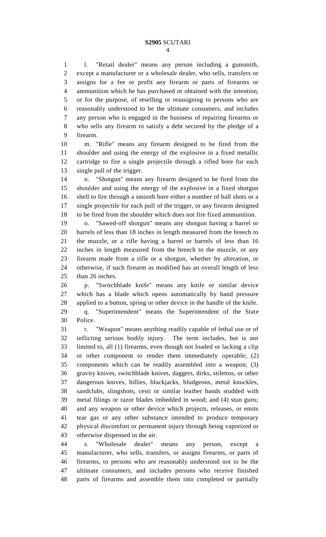l. "Retail dealer" means any person including a gunsmith, except a manufacturer or a wholesale dealer, who sells, transfers or assigns for a fee or profit any firearm or parts of firearms or ammunition which he has purchased or obtained with the intention, or for the purpose, of reselling or reassigning to persons who are reasonably understood to be the ultimate consumers, and includes any person who is engaged in the business of repairing firearms or who sells any firearm to satisfy a debt secured by the pledge of a firearm.

 m. "Rifle" means any firearm designed to be fired from the shoulder and using the energy of the explosive in a fixed metallic cartridge to fire a single projectile through a rifled bore for each single pull of the trigger.

 n. "Shotgun" means any firearm designed to be fired from the shoulder and using the energy of the explosive in a fixed shotgun shell to fire through a smooth bore either a number of ball shots or a single projectile for each pull of the trigger, or any firearm designed to be fired from the shoulder which does not fire fixed ammunition.

 o. "Sawed-off shotgun" means any shotgun having a barrel or barrels of less than 18 inches in length measured from the breech to the muzzle, or a rifle having a barrel or barrels of less than 16 inches in length measured from the breech to the muzzle, or any firearm made from a rifle or a shotgun, whether by alteration, or otherwise, if such firearm as modified has an overall length of less than 26 inches.

 p. "Switchblade knife" means any knife or similar device which has a blade which opens automatically by hand pressure applied to a button, spring or other device in the handle of the knife. q. "Superintendent" means the Superintendent of the State

Police.

 r. "Weapon" means anything readily capable of lethal use or of inflicting serious bodily injury. The term includes, but is not limited to, all (1) firearms, even though not loaded or lacking a clip or other component to render them immediately operable; (2) components which can be readily assembled into a weapon; (3) gravity knives, switchblade knives, daggers, dirks, stilettos, or other dangerous knives, billies, blackjacks, bludgeons, metal knuckles, sandclubs, slingshots, cesti or similar leather bands studded with metal filings or razor blades imbedded in wood; and (4) stun guns; and any weapon or other device which projects, releases, or emits tear gas or any other substance intended to produce temporary physical discomfort or permanent injury through being vaporized or otherwise dispensed in the air.

 s. "Wholesale dealer" means any person, except a manufacturer, who sells, transfers, or assigns firearms, or parts of firearms, to persons who are reasonably understood not to be the ultimate consumers, and includes persons who receive finished parts of firearms and assemble them into completed or partially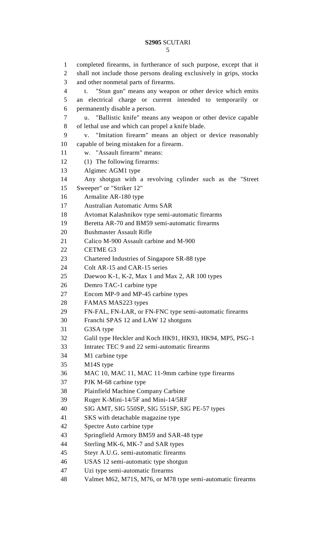completed firearms, in furtherance of such purpose, except that it shall not include those persons dealing exclusively in grips, stocks and other nonmetal parts of firearms. t. "Stun gun" means any weapon or other device which emits an electrical charge or current intended to temporarily or permanently disable a person. u. "Ballistic knife" means any weapon or other device capable of lethal use and which can propel a knife blade. v. "Imitation firearm" means an object or device reasonably capable of being mistaken for a firearm. w. "Assault firearm" means: (1) The following firearms: Algimec AGM1 type Any shotgun with a revolving cylinder such as the "Street Sweeper" or "Striker 12" Armalite AR-180 type Australian Automatic Arms SAR Avtomat Kalashnikov type semi-automatic firearms Beretta AR-70 and BM59 semi-automatic firearms Bushmaster Assault Rifle Calico M-900 Assault carbine and M-900 CETME G3 Chartered Industries of Singapore SR-88 type Colt AR-15 and CAR-15 series Daewoo K-1, K-2, Max 1 and Max 2, AR 100 types Demro TAC-1 carbine type Encom MP-9 and MP-45 carbine types FAMAS MAS223 types FN-FAL, FN-LAR, or FN-FNC type semi-automatic firearms Franchi SPAS 12 and LAW 12 shotguns G3SA type Galil type Heckler and Koch HK91, HK93, HK94, MP5, PSG-1 Intratec TEC 9 and 22 semi-automatic firearms M1 carbine type M14S type MAC 10, MAC 11, MAC 11-9mm carbine type firearms PJK M-68 carbine type Plainfield Machine Company Carbine Ruger K-Mini-14/5F and Mini-14/5RF SIG AMT, SIG 550SP, SIG 551SP, SIG PE-57 types SKS with detachable magazine type Spectre Auto carbine type Springfield Armory BM59 and SAR-48 type Sterling MK-6, MK-7 and SAR types Steyr A.U.G. semi-automatic firearms USAS 12 semi-automatic type shotgun Uzi type semi-automatic firearms Valmet M62, M71S, M76, or M78 type semi-automatic firearms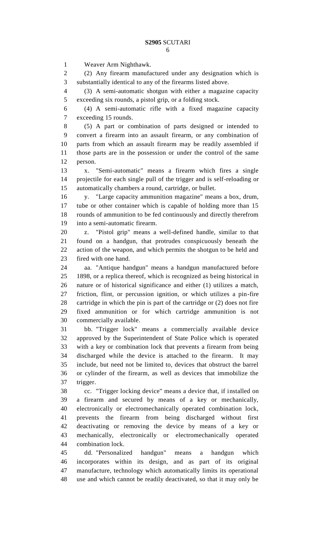Weaver Arm Nighthawk. (2) Any firearm manufactured under any designation which is substantially identical to any of the firearms listed above. (3) A semi-automatic shotgun with either a magazine capacity exceeding six rounds, a pistol grip, or a folding stock. (4) A semi-automatic rifle with a fixed magazine capacity exceeding 15 rounds. (5) A part or combination of parts designed or intended to convert a firearm into an assault firearm, or any combination of parts from which an assault firearm may be readily assembled if those parts are in the possession or under the control of the same person. x. "Semi-automatic" means a firearm which fires a single projectile for each single pull of the trigger and is self-reloading or automatically chambers a round, cartridge, or bullet. y. "Large capacity ammunition magazine" means a box, drum, tube or other container which is capable of holding more than 15 rounds of ammunition to be fed continuously and directly therefrom into a semi-automatic firearm. z. "Pistol grip" means a well-defined handle, similar to that found on a handgun, that protrudes conspicuously beneath the action of the weapon, and which permits the shotgun to be held and fired with one hand. aa. "Antique handgun" means a handgun manufactured before 1898, or a replica thereof, which is recognized as being historical in nature or of historical significance and either (1) utilizes a match, friction, flint, or percussion ignition, or which utilizes a pin-fire cartridge in which the pin is part of the cartridge or (2) does not fire fixed ammunition or for which cartridge ammunition is not commercially available. bb. "Trigger lock" means a commercially available device approved by the Superintendent of State Police which is operated with a key or combination lock that prevents a firearm from being discharged while the device is attached to the firearm. It may include, but need not be limited to, devices that obstruct the barrel or cylinder of the firearm, as well as devices that immobilize the trigger. cc. "Trigger locking device" means a device that, if installed on a firearm and secured by means of a key or mechanically, electronically or electromechanically operated combination lock, prevents the firearm from being discharged without first deactivating or removing the device by means of a key or mechanically, electronically or electromechanically operated combination lock. dd. "Personalized handgun" means a handgun which incorporates within its design, and as part of its original manufacture, technology which automatically limits its operational use and which cannot be readily deactivated, so that it may only be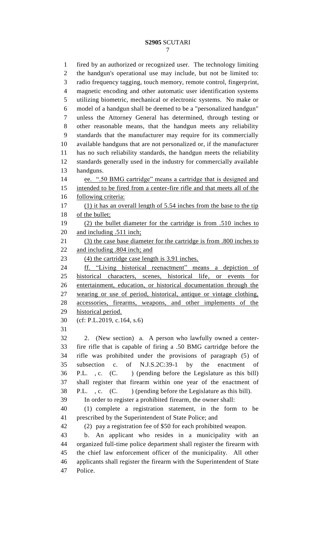fired by an authorized or recognized user. The technology limiting the handgun's operational use may include, but not be limited to: radio frequency tagging, touch memory, remote control, fingerprint, magnetic encoding and other automatic user identification systems utilizing biometric, mechanical or electronic systems. No make or model of a handgun shall be deemed to be a "personalized handgun" unless the Attorney General has determined, through testing or other reasonable means, that the handgun meets any reliability standards that the manufacturer may require for its commercially available handguns that are not personalized or, if the manufacturer has no such reliability standards, the handgun meets the reliability standards generally used in the industry for commercially available handguns. 14 ee. ".50 BMG cartridge" means a cartridge that is designed and 15 intended to be fired from a center-fire rifle and that meets all of the following criteria: (1) it has an overall length of 5.54 inches from the base to the tip of the bullet; (2) the bullet diameter for the cartridge is from .510 inches to and including .511 inch; (3) the case base diameter for the cartridge is from .800 inches to and including .804 inch; and (4) the cartridge case length is 3.91 inches. ff. "Living historical reenactment" means a depiction of historical characters, scenes, historical life, or events for entertainment, education, or historical documentation through the wearing or use of period, historical, antique or vintage clothing, accessories, firearms, weapons, and other implements of the historical period. (cf: P.L.2019, c.164, s.6) 2. (New section) a. A person who lawfully owned a center- fire rifle that is capable of firing a .50 BMG cartridge before the rifle was prohibited under the provisions of paragraph (5) of subsection c. of N.J.S.2C:39-1 by the enactment of P.L. , c. (C. ) (pending before the Legislature as this bill) shall register that firearm within one year of the enactment of P.L. , c. (C. ) (pending before the Legislature as this bill). In order to register a prohibited firearm, the owner shall: (1) complete a registration statement, in the form to be prescribed by the Superintendent of State Police; and (2) pay a registration fee of \$50 for each prohibited weapon. b. An applicant who resides in a municipality with an organized full-time police department shall register the firearm with the chief law enforcement officer of the municipality. All other applicants shall register the firearm with the Superintendent of State Police.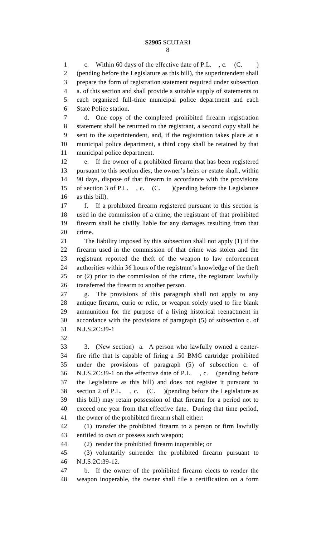1 c. Within 60 days of the effective date of P.L., c. (C. ) (pending before the Legislature as this bill), the superintendent shall prepare the form of registration statement required under subsection a. of this section and shall provide a suitable supply of statements to each organized full-time municipal police department and each State Police station.

 d. One copy of the completed prohibited firearm registration statement shall be returned to the registrant, a second copy shall be sent to the superintendent, and, if the registration takes place at a municipal police department, a third copy shall be retained by that municipal police department.

 e. If the owner of a prohibited firearm that has been registered pursuant to this section dies, the owner's heirs or estate shall, within 90 days, dispose of that firearm in accordance with the provisions of section 3 of P.L. , c. (C. )(pending before the Legislature as this bill).

 f. If a prohibited firearm registered pursuant to this section is used in the commission of a crime, the registrant of that prohibited firearm shall be civilly liable for any damages resulting from that crime.

 The liability imposed by this subsection shall not apply (1) if the firearm used in the commission of that crime was stolen and the registrant reported the theft of the weapon to law enforcement authorities within 36 hours of the registrant's knowledge of the theft or (2) prior to the commission of the crime, the registrant lawfully transferred the firearm to another person.

 g. The provisions of this paragraph shall not apply to any antique firearm, curio or relic, or weapon solely used to fire blank ammunition for the purpose of a living historical reenactment in accordance with the provisions of paragraph (5) of subsection c. of N.J.S.2C:39-1

 3. (New section) a. A person who lawfully owned a center- fire rifle that is capable of firing a .50 BMG cartridge prohibited under the provisions of paragraph (5) of subsection c. of N.J.S.2C:39-1 on the effective date of P.L. , c. (pending before the Legislature as this bill) and does not register it pursuant to section 2 of P.L. , c. (C. )(pending before the Legislature as this bill) may retain possession of that firearm for a period not to exceed one year from that effective date. During that time period, the owner of the prohibited firearm shall either:

 (1) transfer the prohibited firearm to a person or firm lawfully entitled to own or possess such weapon;

(2) render the prohibited firearm inoperable; or

 (3) voluntarily surrender the prohibited firearm pursuant to N.J.S.2C:39-12.

 b. If the owner of the prohibited firearm elects to render the weapon inoperable, the owner shall file a certification on a form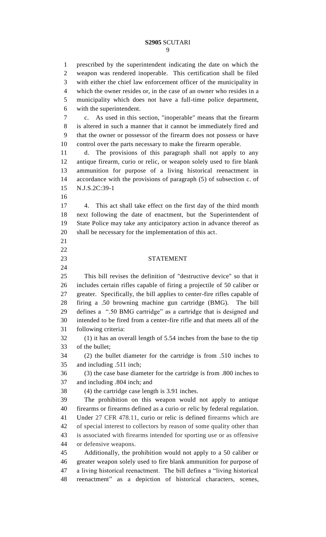prescribed by the superintendent indicating the date on which the weapon was rendered inoperable. This certification shall be filed with either the chief law enforcement officer of the municipality in which the owner resides or, in the case of an owner who resides in a

 municipality which does not have a full-time police department, with the superintendent.

 

 c. As used in this section, "inoperable" means that the firearm is altered in such a manner that it cannot be immediately fired and that the owner or possessor of the firearm does not possess or have control over the parts necessary to make the firearm operable.

 d. The provisions of this paragraph shall not apply to any antique firearm, curio or relic, or weapon solely used to fire blank ammunition for purpose of a living historical reenactment in accordance with the provisions of paragraph (5) of subsection c. of N.J.S.2C:39-1

 4. This act shall take effect on the first day of the third month next following the date of enactment, but the Superintendent of State Police may take any anticipatory action in advance thereof as shall be necessary for the implementation of this act.

## STATEMENT

 This bill revises the definition of "destructive device" so that it includes certain rifles capable of firing a projectile of 50 caliber or greater. Specifically, the bill applies to center-fire rifles capable of firing a .50 browning machine gun cartridge (BMG). The bill defines a ".50 BMG cartridge" as a cartridge that is designed and intended to be fired from a center-fire rifle and that meets all of the following criteria:

 (1) it has an overall length of 5.54 inches from the base to the tip of the bullet;

 (2) the bullet diameter for the cartridge is from .510 inches to and including .511 inch;

 (3) the case base diameter for the cartridge is from .800 inches to and including .804 inch; and

(4) the cartridge case length is 3.91 inches.

 The prohibition on this weapon would not apply to antique firearms or firearms defined as a curio or relic by federal regulation. Under 27 CFR 478.11, curio or relic is defined firearms which are of special interest to collectors by reason of some quality other than is associated with firearms intended for sporting use or as offensive or defensive weapons.

 Additionally, the prohibition would not apply to a 50 caliber or greater weapon solely used to fire blank ammunition for purpose of a living historical reenactment. The bill defines a "living historical reenactment" as a depiction of historical characters, scenes,